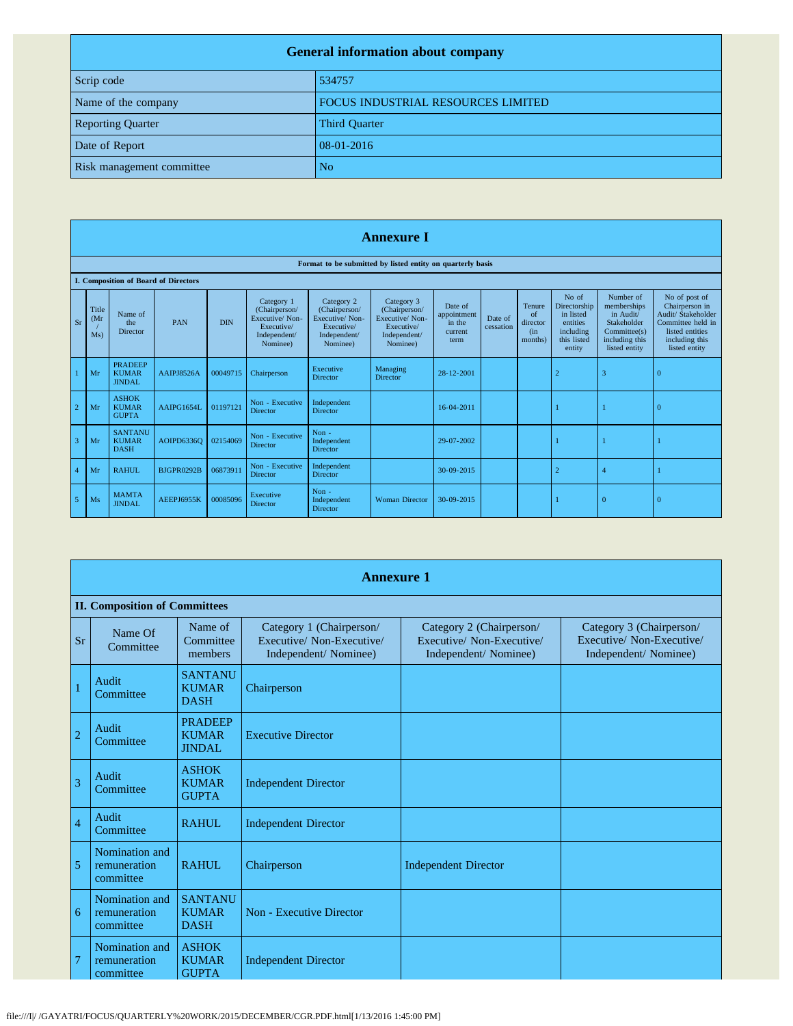| <b>General information about company</b> |                                    |  |
|------------------------------------------|------------------------------------|--|
| Scrip code                               | 534757                             |  |
| Name of the company                      | FOCUS INDUSTRIAL RESOURCES LIMITED |  |
| <b>Reporting Quarter</b>                 | <b>Third Quarter</b>               |  |
| Date of Report                           | 08-01-2016                         |  |
| Risk management committee                | N <sub>o</sub>                     |  |

|                | <b>Annexure I</b>                                          |                                               |                                      |            |                                                                                         |                                                                                         |                                                                                         |                                                     |                      |                                            |                                                                                      |                                                                                                         |                                                                                                                                  |
|----------------|------------------------------------------------------------|-----------------------------------------------|--------------------------------------|------------|-----------------------------------------------------------------------------------------|-----------------------------------------------------------------------------------------|-----------------------------------------------------------------------------------------|-----------------------------------------------------|----------------------|--------------------------------------------|--------------------------------------------------------------------------------------|---------------------------------------------------------------------------------------------------------|----------------------------------------------------------------------------------------------------------------------------------|
|                | Format to be submitted by listed entity on quarterly basis |                                               |                                      |            |                                                                                         |                                                                                         |                                                                                         |                                                     |                      |                                            |                                                                                      |                                                                                                         |                                                                                                                                  |
|                |                                                            |                                               | I. Composition of Board of Directors |            |                                                                                         |                                                                                         |                                                                                         |                                                     |                      |                                            |                                                                                      |                                                                                                         |                                                                                                                                  |
| Sr             | Title<br>(Mr)<br>Ms)                                       | Name of<br>the<br>Director                    | <b>PAN</b>                           | <b>DIN</b> | Category 1<br>(Chairperson/<br>Executive/Non-<br>Executive/<br>Independent/<br>Nominee) | Category 2<br>(Chairperson/<br>Executive/Non-<br>Executive/<br>Independent/<br>Nominee) | Category 3<br>(Chairperson/<br>Executive/Non-<br>Executive/<br>Independent/<br>Nominee) | Date of<br>appointment<br>in the<br>current<br>term | Date of<br>cessation | Tenure<br>of<br>director<br>(in<br>months) | No of<br>Directorship<br>in listed<br>entities<br>including<br>this listed<br>entity | Number of<br>memberships<br>in Audit/<br>Stakeholder<br>Committee(s)<br>including this<br>listed entity | No of post of<br>Chairperson in<br>Audit/ Stakeholder<br>Committee held in<br>listed entities<br>including this<br>listed entity |
|                | Mr                                                         | <b>PRADEEP</b><br><b>KUMAR</b><br>JINDAL.     | AAIPJ8526A                           | 00049715   | Chairperson                                                                             | Executive<br><b>Director</b>                                                            | Managing<br><b>Director</b>                                                             | 28-12-2001                                          |                      |                                            | $\overline{2}$                                                                       | 3                                                                                                       | $\overline{0}$                                                                                                                   |
| $\overline{2}$ | Mr                                                         | <b>ASHOK</b><br><b>KUMAR</b><br><b>GUPTA</b>  | AAIPG1654L                           | 01197121   | Non - Executive<br><b>Director</b>                                                      | Independent<br><b>Director</b>                                                          |                                                                                         | 16-04-2011                                          |                      |                                            |                                                                                      |                                                                                                         | $\Omega$                                                                                                                         |
| 3              | Mr                                                         | <b>SANTANU</b><br><b>KUMAR</b><br><b>DASH</b> | AOIPD6336O                           | 02154069   | Non - Executive<br><b>Director</b>                                                      | Non-<br>Independent<br><b>Director</b>                                                  |                                                                                         | 29-07-2002                                          |                      |                                            |                                                                                      |                                                                                                         |                                                                                                                                  |
| 4              | Mr                                                         | <b>RAHUL</b>                                  | <b>BJGPR0292B</b>                    | 06873911   | Non - Executive<br><b>Director</b>                                                      | Independent<br><b>Director</b>                                                          |                                                                                         | 30-09-2015                                          |                      |                                            | $\overline{2}$                                                                       | ۷                                                                                                       |                                                                                                                                  |
| 5              | Ms                                                         | <b>MAMTA</b><br><b>JINDAL</b>                 | AEEPJ6955K                           | 00085096   | Executive<br><b>Director</b>                                                            | $Non -$<br>Independent<br><b>Director</b>                                               | <b>Woman Director</b>                                                                   | 30-09-2015                                          |                      |                                            |                                                                                      | $\overline{0}$                                                                                          | $\overline{0}$                                                                                                                   |

|                | <b>Annexure 1</b>                           |                                                 |                                                                               |                                                                              |                                                                               |
|----------------|---------------------------------------------|-------------------------------------------------|-------------------------------------------------------------------------------|------------------------------------------------------------------------------|-------------------------------------------------------------------------------|
|                | <b>II. Composition of Committees</b>        |                                                 |                                                                               |                                                                              |                                                                               |
| <b>Sr</b>      | Name Of<br>Committee                        | Name of<br>Committee<br>members                 | Category 1 (Chairperson/<br>Executive/ Non-Executive/<br>Independent/Nominee) | Category 2 (Chairperson/<br>Executive/Non-Executive/<br>Independent/Nominee) | Category 3 (Chairperson/<br>Executive/ Non-Executive/<br>Independent/Nominee) |
| $\mathbf{1}$   | <b>Audit</b><br>Committee                   | <b>SANTANU</b><br><b>KUMAR</b><br><b>DASH</b>   | Chairperson                                                                   |                                                                              |                                                                               |
| $\overline{2}$ | <b>Audit</b><br>Committee                   | <b>PRADEEP</b><br><b>KUMAR</b><br><b>JINDAL</b> | <b>Executive Director</b>                                                     |                                                                              |                                                                               |
| $\overline{3}$ | Audit<br>Committee                          | <b>ASHOK</b><br><b>KUMAR</b><br><b>GUPTA</b>    | <b>Independent Director</b>                                                   |                                                                              |                                                                               |
| $\overline{4}$ | Audit<br>Committee                          | <b>RAHUL</b>                                    | <b>Independent Director</b>                                                   |                                                                              |                                                                               |
| 5              | Nomination and<br>remuneration<br>committee | RAHUL.                                          | Chairperson                                                                   | <b>Independent Director</b>                                                  |                                                                               |
| 6              | Nomination and<br>remuneration<br>committee | <b>SANTANU</b><br><b>KUMAR</b><br><b>DASH</b>   | <b>Non - Executive Director</b>                                               |                                                                              |                                                                               |
| $\overline{7}$ | Nomination and<br>remuneration<br>committee | <b>ASHOK</b><br><b>KUMAR</b><br><b>GUPTA</b>    | <b>Independent Director</b>                                                   |                                                                              |                                                                               |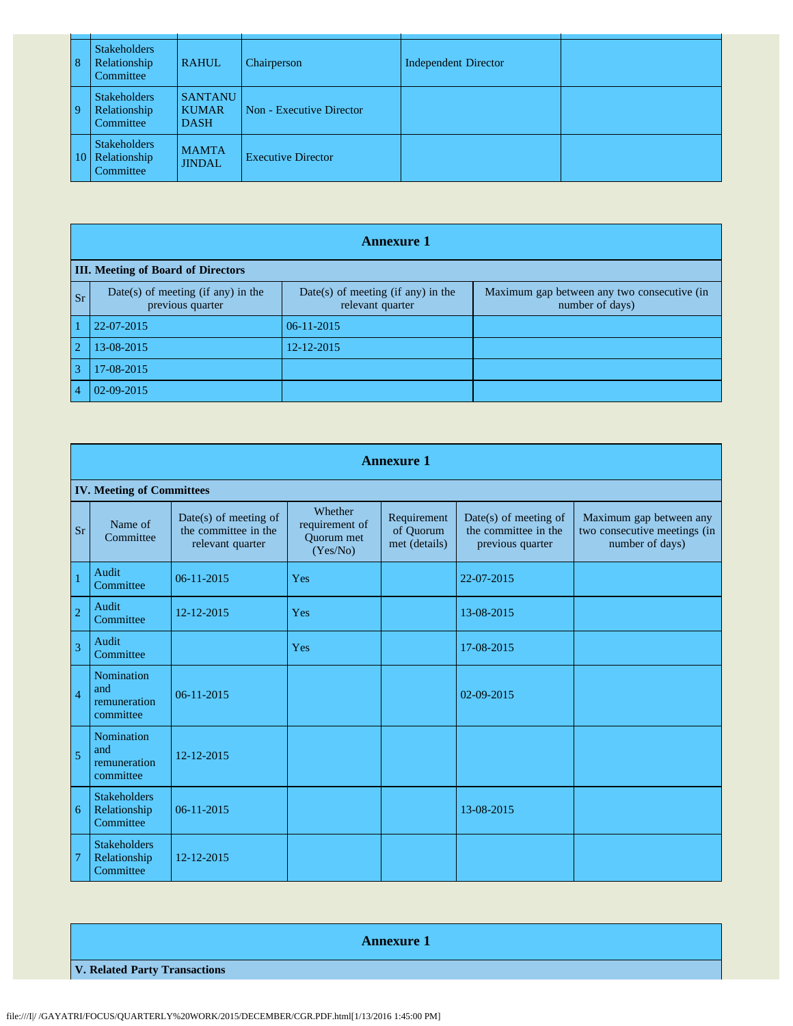| 8            | <b>Stakeholders</b><br>Relationship<br>Committee | <b>RAHUL</b>                                  | Chairperson               | <b>Independent Director</b> |  |
|--------------|--------------------------------------------------|-----------------------------------------------|---------------------------|-----------------------------|--|
| $\mathbf{Q}$ | <b>Stakeholders</b><br>Relationship<br>Committee | <b>SANTANU</b><br><b>KUMAR</b><br><b>DASH</b> | Non - Executive Director  |                             |  |
| 10           | Stakeholders<br>Relationship<br>Committee        | <b>MAMTA</b><br><b>JINDAL</b>                 | <b>Executive Director</b> |                             |  |

|                | <b>Annexure 1</b>                                      |                                                        |                                                                |  |  |  |
|----------------|--------------------------------------------------------|--------------------------------------------------------|----------------------------------------------------------------|--|--|--|
|                | <b>III.</b> Meeting of Board of Directors              |                                                        |                                                                |  |  |  |
| <b>Sr</b>      | Date(s) of meeting (if any) in the<br>previous quarter | Date(s) of meeting (if any) in the<br>relevant quarter | Maximum gap between any two consecutive (in<br>number of days) |  |  |  |
|                | 22-07-2015                                             | $06-11-2015$                                           |                                                                |  |  |  |
| $\overline{2}$ | 13-08-2015                                             | 12-12-2015                                             |                                                                |  |  |  |
| 3              | 17-08-2015                                             |                                                        |                                                                |  |  |  |
|                | 02-09-2015                                             |                                                        |                                                                |  |  |  |

|                | <b>Annexure 1</b>                                     |                                                                   |                                                     |                                           |                                                                     |                                                                            |
|----------------|-------------------------------------------------------|-------------------------------------------------------------------|-----------------------------------------------------|-------------------------------------------|---------------------------------------------------------------------|----------------------------------------------------------------------------|
|                | <b>IV. Meeting of Committees</b>                      |                                                                   |                                                     |                                           |                                                                     |                                                                            |
| <b>Sr</b>      | Name of<br>Committee                                  | Date(s) of meeting of<br>the committee in the<br>relevant quarter | Whether<br>requirement of<br>Quorum met<br>(Yes/No) | Requirement<br>of Quorum<br>met (details) | $Date(s)$ of meeting of<br>the committee in the<br>previous quarter | Maximum gap between any<br>two consecutive meetings (in<br>number of days) |
|                | Audit<br>Committee                                    | 06-11-2015                                                        | Yes                                                 |                                           | 22-07-2015                                                          |                                                                            |
| $\overline{2}$ | Audit<br>Committee                                    | 12-12-2015                                                        | Yes                                                 |                                           | 13-08-2015                                                          |                                                                            |
| $\overline{3}$ | Audit<br>Committee                                    |                                                                   | Yes                                                 |                                           | 17-08-2015                                                          |                                                                            |
| $\overline{4}$ | <b>Nomination</b><br>and<br>remuneration<br>committee | 06-11-2015                                                        |                                                     |                                           | 02-09-2015                                                          |                                                                            |
| 5              | Nomination<br>and<br>remuneration<br>committee        | 12-12-2015                                                        |                                                     |                                           |                                                                     |                                                                            |
| 6              | <b>Stakeholders</b><br>Relationship<br>Committee      | 06-11-2015                                                        |                                                     |                                           | 13-08-2015                                                          |                                                                            |
| 7              | <b>Stakeholders</b><br>Relationship<br>Committee      | 12-12-2015                                                        |                                                     |                                           |                                                                     |                                                                            |

**Annexure 1 V. Related Party Transactions**